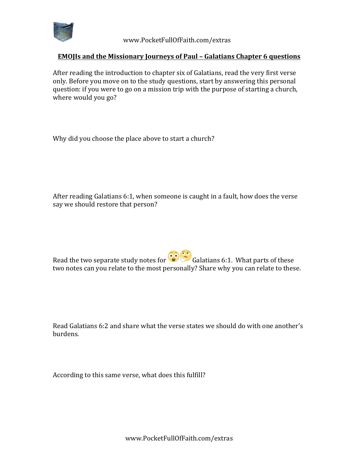

 www.PocketFullOfFaith.com/extras

## **EMOJIs and the Missionary Journeys of Paul - Galatians Chapter 6 questions**

After reading the introduction to chapter six of Galatians, read the very first verse only. Before you move on to the study questions, start by answering this personal question: if you were to go on a mission trip with the purpose of starting a church, where would you go?

Why did you choose the place above to start a church?

After reading Galatians 6:1, when someone is caught in a fault, how does the verse say we should restore that person?

Read the two separate study notes for  $\odot$  Galatians 6:1. What parts of these two notes can you relate to the most personally? Share why you can relate to these.

Read Galatians 6:2 and share what the verse states we should do with one another's burdens. 

According to this same verse, what does this fulfill?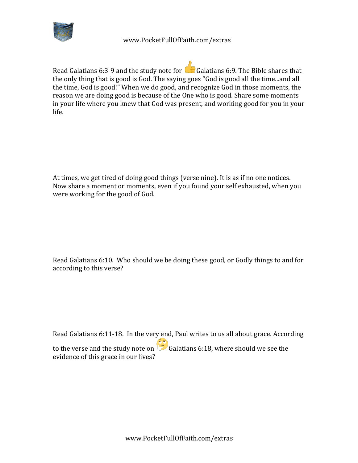

 www.PocketFullOfFaith.com/extras

Read Galatians 6:3-9 and the study note for  $\mathbb{G}$  Galatians 6:9. The Bible shares that the only thing that is good is God. The saying goes "God is good all the time...and all the time, God is good!" When we do good, and recognize God in those moments, the reason we are doing good is because of the One who is good. Share some moments in your life where you knew that God was present, and working good for you in your life.

At times, we get tired of doing good things (verse nine). It is as if no one notices. Now share a moment or moments, even if you found your self exhausted, when you were working for the good of God.

Read Galatians 6:10. Who should we be doing these good, or Godly things to and for according to this verse?

Read Galatians 6:11-18. In the very end, Paul writes to us all about grace. According to the verse and the study note on  $\ddot{\bullet}$  Galatians 6:18, where should we see the evidence of this grace in our lives?